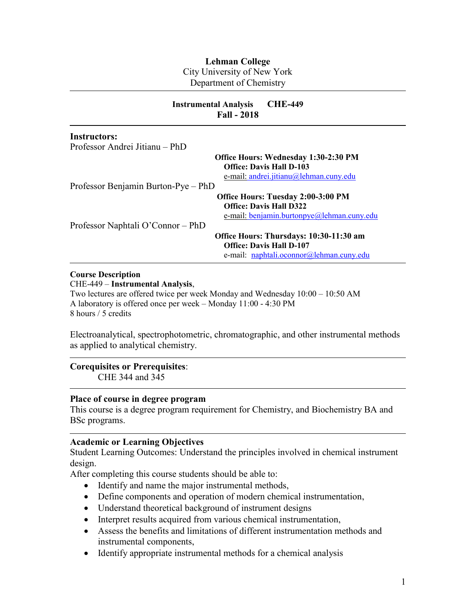# **Lehman College**

City University of New York

Department of Chemistry

|                                     | <b>CHE-449</b><br><b>Instrumental Analysis</b><br><b>Fall - 2018</b>                                                      |
|-------------------------------------|---------------------------------------------------------------------------------------------------------------------------|
| <b>Instructors:</b>                 |                                                                                                                           |
| Professor Andrei Jitianu – PhD      |                                                                                                                           |
|                                     | <b>Office Hours: Wednesday 1:30-2:30 PM</b><br><b>Office: Davis Hall D-103</b><br>e-mail: andrei.jitianu@lehman.cuny.edu  |
| Professor Benjamin Burton-Pye – PhD |                                                                                                                           |
|                                     | <b>Office Hours: Tuesday 2:00-3:00 PM</b><br><b>Office: Davis Hall D322</b><br>e-mail: benjamin.burtonpye@lehman.cuny.edu |
| Professor Naphtali O'Connor – PhD   |                                                                                                                           |
|                                     | Office Hours: Thursdays: 10:30-11:30 am                                                                                   |
|                                     | <b>Office: Davis Hall D-107</b>                                                                                           |
|                                     | e-mail: naphtali.oconnor@lehman.cuny.edu                                                                                  |

#### **Course Description**

CHE-449 – **Instrumental Analysis**,

Two lectures are offered twice per week Monday and Wednesday 10:00 – 10:50 AM A laboratory is offered once per week – Monday 11:00 - 4:30 PM 8 hours / 5 credits

Electroanalytical, spectrophotometric, chromatographic, and other instrumental methods as applied to analytical chemistry.

## **Corequisites or Prerequisites**:

CHE 344 and 345

### **Place of course in degree program**

This course is a degree program requirement for Chemistry, and Biochemistry BA and BSc programs.

#### **Academic or Learning Objectives**

Student Learning Outcomes: Understand the principles involved in chemical instrument design.

After completing this course students should be able to:

- Identify and name the major instrumental methods,
- Define components and operation of modern chemical instrumentation,
- Understand theoretical background of instrument designs
- Interpret results acquired from various chemical instrumentation,
- Assess the benefits and limitations of different instrumentation methods and instrumental components,
- Identify appropriate instrumental methods for a chemical analysis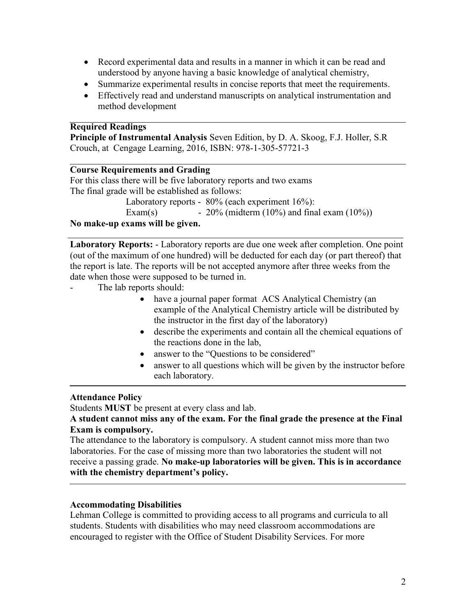- Record experimental data and results in a manner in which it can be read and understood by anyone having a basic knowledge of analytical chemistry,
- Summarize experimental results in concise reports that meet the requirements.
- Effectively read and understand manuscripts on analytical instrumentation and method development

### **Required Readings**

**Principle of Instrumental Analysis** Seven Edition, by D. A. Skoog, F.J. Holler, S.R Crouch, at Cengage Learning, 2016, ISBN: 978-1-305-57721-3

## **Course Requirements and Grading**

For this class there will be five laboratory reports and two exams The final grade will be established as follows:

> Laboratory reports - 80% (each experiment  $16\%$ ): Exam(s) - 20% (midterm  $(10\%)$  and final exam  $(10\%)$ )

### **No make-up exams will be given.**

**Laboratory Reports:** - Laboratory reports are due one week after completion. One point (out of the maximum of one hundred) will be deducted for each day (or part thereof) that the report is late. The reports will be not accepted anymore after three weeks from the date when those were supposed to be turned in.

- The lab reports should:
	- have a journal paper format ACS Analytical Chemistry (an example of the Analytical Chemistry article will be distributed by the instructor in the first day of the laboratory)
	- describe the experiments and contain all the chemical equations of the reactions done in the lab,
	- answer to the "Questions to be considered"
	- answer to all questions which will be given by the instructor before each laboratory.

## **Attendance Policy**

Students **MUST** be present at every class and lab.

**A student cannot miss any of the exam. For the final grade the presence at the Final Exam is compulsory.**

The attendance to the laboratory is compulsory. A student cannot miss more than two laboratories. For the case of missing more than two laboratories the student will not receive a passing grade. **No make-up laboratories will be given. This is in accordance with the chemistry department's policy.**

#### **Accommodating Disabilities**

Lehman College is committed to providing access to all programs and curricula to all students. Students with disabilities who may need classroom accommodations are encouraged to register with the Office of Student Disability Services. For more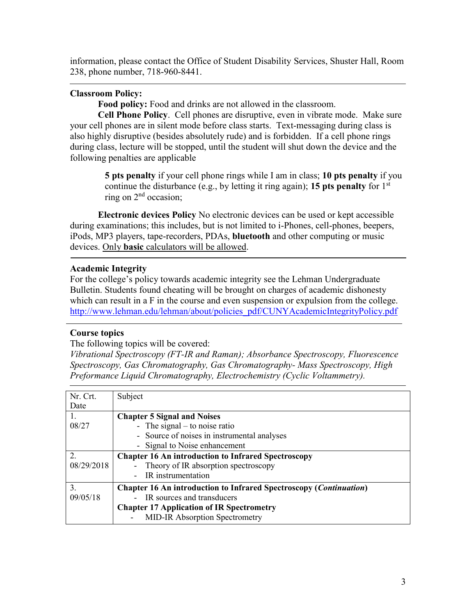information, please contact the Office of Student Disability Services, Shuster Hall, Room 238, phone number, 718-960-8441.

## **Classroom Policy:**

**Food policy:** Food and drinks are not allowed in the classroom.

**Cell Phone Policy**. Cell phones are disruptive, even in vibrate mode. Make sure your cell phones are in silent mode before class starts. Text-messaging during class is also highly disruptive (besides absolutely rude) and is forbidden. If a cell phone rings during class, lecture will be stopped, until the student will shut down the device and the following penalties are applicable

> **5 pts penalty** if your cell phone rings while I am in class; **10 pts penalty** if you continue the disturbance (e.g., by letting it ring again); **15 pts penalty** for  $1<sup>st</sup>$ ring on  $2<sup>nd</sup>$  occasion;

**Electronic devices Policy** No electronic devices can be used or kept accessible during examinations; this includes, but is not limited to i-Phones, cell-phones, beepers, iPods, MP3 players, tape-recorders, PDAs, **bluetooth** and other computing or music devices. Only **basic** calculators will be allowed.

## **Academic Integrity**

For the college's policy towards academic integrity see the Lehman Undergraduate Bulletin. Students found cheating will be brought on charges of academic dishonesty which can result in a F in the course and even suspension or expulsion from the college. [http://www.lehman.edu/lehman/about/policies\\_pdf/CUNYAcademicIntegrityPolicy.pdf](http://www.lehman.edu/lehman/about/policies_pdf/CUNYAcademicIntegrityPolicy.pdf)

## **Course topics**

The following topics will be covered:

*Vibrational Spectroscopy (FT-IR and Raman); Absorbance Spectroscopy, Fluorescence Spectroscopy, Gas Chromatography, Gas Chromatography- Mass Spectroscopy, High Preformance Liquid Chromatography, Electrochemistry (Cyclic Voltammetry).*

| Nr. Crt.       | Subject                                                                   |  |
|----------------|---------------------------------------------------------------------------|--|
| Date           |                                                                           |  |
| 1.             | <b>Chapter 5 Signal and Noises</b>                                        |  |
| 08/27          | - The signal $-$ to noise ratio                                           |  |
|                | - Source of noises in instrumental analyses                               |  |
|                | - Signal to Noise enhancement                                             |  |
| $\overline{2}$ | <b>Chapter 16 An introduction to Infrared Spectroscopy</b>                |  |
| 08/29/2018     | - Theory of IR absorption spectroscopy                                    |  |
|                | IR instrumentation                                                        |  |
| 3.             | <b>Chapter 16 An introduction to Infrared Spectroscopy (Continuation)</b> |  |
| 09/05/18       | IR sources and transducers                                                |  |
|                | <b>Chapter 17 Application of IR Spectrometry</b>                          |  |
|                | <b>MID-IR Absorption Spectrometry</b>                                     |  |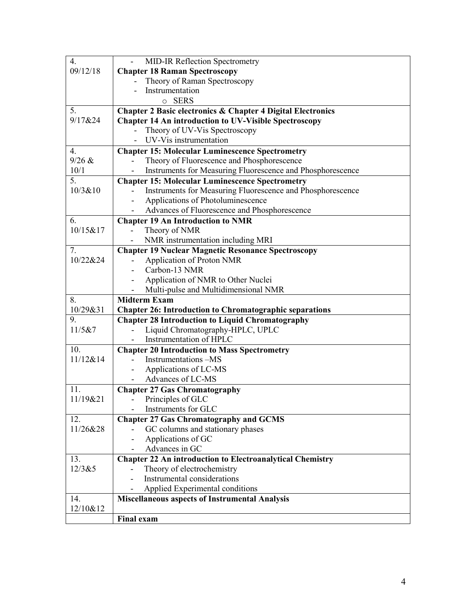| $\overline{4}$ . | MID-IR Reflection Spectrometry                                                                                            |  |  |
|------------------|---------------------------------------------------------------------------------------------------------------------------|--|--|
| 09/12/18         | <b>Chapter 18 Raman Spectroscopy</b>                                                                                      |  |  |
|                  | Theory of Raman Spectroscopy                                                                                              |  |  |
|                  | Instrumentation                                                                                                           |  |  |
|                  | o SERS                                                                                                                    |  |  |
| 5.               | <b>Chapter 2 Basic electronics &amp; Chapter 4 Digital Electronics</b>                                                    |  |  |
| 9/17&24          | <b>Chapter 14 An introduction to UV-Visible Spectroscopy</b>                                                              |  |  |
|                  | Theory of UV-Vis Spectroscopy                                                                                             |  |  |
|                  | UV-Vis instrumentation                                                                                                    |  |  |
| $\overline{4}$ . | <b>Chapter 15: Molecular Luminescence Spectrometry</b>                                                                    |  |  |
| 9/26 &           | Theory of Fluorescence and Phosphorescence                                                                                |  |  |
| 10/1             | Instruments for Measuring Fluorescence and Phosphorescence                                                                |  |  |
| 5.               | <b>Chapter 15: Molecular Luminescence Spectrometry</b>                                                                    |  |  |
| 10/3&10          | Instruments for Measuring Fluorescence and Phosphorescence                                                                |  |  |
|                  | Applications of Photoluminescence                                                                                         |  |  |
|                  | Advances of Fluorescence and Phosphorescence                                                                              |  |  |
| 6.               | <b>Chapter 19 An Introduction to NMR</b>                                                                                  |  |  |
| 10/15&17         | Theory of NMR                                                                                                             |  |  |
|                  | NMR instrumentation including MRI                                                                                         |  |  |
| 7.               | <b>Chapter 19 Nuclear Magnetic Resonance Spectroscopy</b>                                                                 |  |  |
| 10/22&24         | <b>Application of Proton NMR</b>                                                                                          |  |  |
|                  | Carbon-13 NMR                                                                                                             |  |  |
|                  | Application of NMR to Other Nuclei                                                                                        |  |  |
|                  | Multi-pulse and Multidimensional NMR                                                                                      |  |  |
|                  | <b>Midterm Exam</b>                                                                                                       |  |  |
| 8.               |                                                                                                                           |  |  |
| 10/29&31         |                                                                                                                           |  |  |
| 9.               | <b>Chapter 26: Introduction to Chromatographic separations</b><br><b>Chapter 28 Introduction to Liquid Chromatography</b> |  |  |
| 11/5&7           | Liquid Chromatography-HPLC, UPLC                                                                                          |  |  |
|                  | Instrumentation of HPLC                                                                                                   |  |  |
| 10.              | <b>Chapter 20 Introduction to Mass Spectrometry</b>                                                                       |  |  |
| 11/12&14         | Instrumentations -MS                                                                                                      |  |  |
|                  | Applications of LC-MS                                                                                                     |  |  |
|                  | Advances of LC-MS                                                                                                         |  |  |
| 11.              | <b>Chapter 27 Gas Chromatography</b>                                                                                      |  |  |
| 11/19&21         | Principles of GLC                                                                                                         |  |  |
|                  | Instruments for GLC                                                                                                       |  |  |
| 12.              | <b>Chapter 27 Gas Chromatography and GCMS</b>                                                                             |  |  |
| 11/26&28         | GC columns and stationary phases                                                                                          |  |  |
|                  | Applications of GC                                                                                                        |  |  |
|                  | Advances in GC                                                                                                            |  |  |
| 13.              | <b>Chapter 22 An introduction to Electroanalytical Chemistry</b>                                                          |  |  |
| 12/3&5           | Theory of electrochemistry                                                                                                |  |  |
|                  | Instrumental considerations                                                                                               |  |  |
|                  | Applied Experimental conditions                                                                                           |  |  |
| 14.              | Miscellaneous aspects of Instrumental Analysis                                                                            |  |  |
| 12/10&12         |                                                                                                                           |  |  |